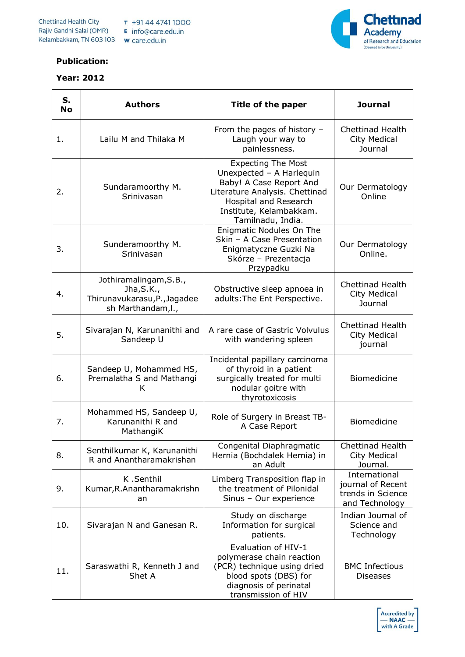

## **Publication:**

## **Year: 2012**

| S.<br><b>No</b> | <b>Authors</b>                                                                             | Title of the paper                                                                                                                                                                          | <b>Journal</b>                                                            |
|-----------------|--------------------------------------------------------------------------------------------|---------------------------------------------------------------------------------------------------------------------------------------------------------------------------------------------|---------------------------------------------------------------------------|
| 1.              | Lailu M and Thilaka M                                                                      | From the pages of history $-$<br>Laugh your way to<br>painlessness.                                                                                                                         | <b>Chettinad Health</b><br>City Medical<br>Journal                        |
| 2.              | Sundaramoorthy M.<br>Srinivasan                                                            | <b>Expecting The Most</b><br>Unexpected - A Harlequin<br>Baby! A Case Report And<br>Literature Analysis. Chettinad<br>Hospital and Research<br>Institute, Kelambakkam.<br>Tamilnadu, India. | Our Dermatology<br>Online                                                 |
| 3.              | Sunderamoorthy M.<br>Srinivasan                                                            | Enigmatic Nodules On The<br>Skin - A Case Presentation<br>Enigmatyczne Guzki Na<br>Skórze - Prezentacja<br>Przypadku                                                                        | Our Dermatology<br>Online.                                                |
| 4.              | Jothiramalingam, S.B.,<br>Jha, S.K.,<br>Thirunavukarasu, P., Jagadee<br>sh Marthandam, I., | Obstructive sleep apnoea in<br>adults: The Ent Perspective.                                                                                                                                 | <b>Chettinad Health</b><br><b>City Medical</b><br>Journal                 |
| 5.              | Sivarajan N, Karunanithi and<br>Sandeep U                                                  | A rare case of Gastric Volvulus<br>with wandering spleen                                                                                                                                    | <b>Chettinad Health</b><br>City Medical<br>journal                        |
| 6.              | Sandeep U, Mohammed HS,<br>Premalatha S and Mathangi<br>K                                  | Incidental papillary carcinoma<br>of thyroid in a patient<br>surgically treated for multi<br>nodular goitre with<br>thyrotoxicosis                                                          | Biomedicine                                                               |
| 7.              | Mohammed HS, Sandeep U,<br>Karunanithi R and<br>MathangiK                                  | Role of Surgery in Breast TB-<br>A Case Report                                                                                                                                              | Biomedicine                                                               |
| 8.              | Senthilkumar K, Karunanithi<br>R and Anantharamakrishan                                    | Congenital Diaphragmatic<br>Hernia (Bochdalek Hernia) in<br>an Adult                                                                                                                        | <b>Chettinad Health</b><br><b>City Medical</b><br>Journal.                |
| 9.              | K.Senthil<br>Kumar, R. Anantharamakrishn<br>an                                             | Limberg Transposition flap in<br>the treatment of Pilonidal<br>Sinus - Our experience                                                                                                       | International<br>journal of Recent<br>trends in Science<br>and Technology |
| 10.             | Sivarajan N and Ganesan R.                                                                 | Study on discharge<br>Information for surgical<br>patients.                                                                                                                                 | Indian Journal of<br>Science and<br>Technology                            |
| 11.             | Saraswathi R, Kenneth J and<br>Shet A                                                      | Evaluation of HIV-1<br>polymerase chain reaction<br>(PCR) technique using dried<br>blood spots (DBS) for<br>diagnosis of perinatal<br>transmission of HIV                                   | <b>BMC Infectious</b><br><b>Diseases</b>                                  |

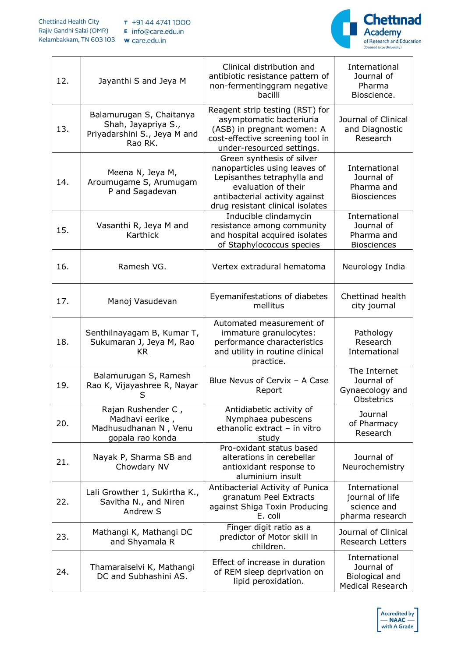

| 12. | Jayanthi S and Jeya M                                                                      | Clinical distribution and<br>antibiotic resistance pattern of<br>non-fermentinggram negative<br>bacilli                                                                                | International<br>Journal of<br>Pharma<br>Bioscience.                     |
|-----|--------------------------------------------------------------------------------------------|----------------------------------------------------------------------------------------------------------------------------------------------------------------------------------------|--------------------------------------------------------------------------|
| 13. | Balamurugan S, Chaitanya<br>Shah, Jayapriya S.,<br>Priyadarshini S., Jeya M and<br>Rao RK. | Reagent strip testing (RST) for<br>asymptomatic bacteriuria<br>(ASB) in pregnant women: A<br>cost-effective screening tool in<br>under-resourced settings.                             | Journal of Clinical<br>and Diagnostic<br>Research                        |
| 14. | Meena N, Jeya M,<br>Aroumugame S, Arumugam<br>P and Sagadevan                              | Green synthesis of silver<br>nanoparticles using leaves of<br>Lepisanthes tetraphylla and<br>evaluation of their<br>antibacterial activity against<br>drug resistant clinical isolates | International<br>Journal of<br>Pharma and<br><b>Biosciences</b>          |
| 15. | Vasanthi R, Jeya M and<br>Karthick                                                         | Inducible clindamycin<br>resistance among community<br>and hospital acquired isolates<br>of Staphylococcus species                                                                     | International<br>Journal of<br>Pharma and<br><b>Biosciences</b>          |
| 16. | Ramesh VG.                                                                                 | Vertex extradural hematoma                                                                                                                                                             | Neurology India                                                          |
| 17. | Manoj Vasudevan                                                                            | Eyemanifestations of diabetes<br>mellitus                                                                                                                                              | Chettinad health<br>city journal                                         |
| 18. | Senthilnayagam B, Kumar T,<br>Sukumaran J, Jeya M, Rao<br><b>KR</b>                        | Automated measurement of<br>immature granulocytes:<br>performance characteristics<br>and utility in routine clinical<br>practice.                                                      | Pathology<br>Research<br>International                                   |
| 19. | Balamurugan S, Ramesh<br>Rao K, Vijayashree R, Nayar<br>S                                  | Blue Nevus of Cervix - A Case<br>Report                                                                                                                                                | The Internet<br>Journal of<br>Gynaecology and<br>Obstetrics              |
| 20. | Rajan Rushender C,<br>Madhavi eerike,<br>Madhusudhanan N, Venu<br>gopala rao konda         | Antidiabetic activity of<br>Nymphaea pubescens<br>ethanolic extract - in vitro<br>study                                                                                                | Journal<br>of Pharmacy<br>Research                                       |
| 21. | Nayak P, Sharma SB and<br>Chowdary NV                                                      | Pro-oxidant status based<br>alterations in cerebellar<br>antioxidant response to<br>aluminium insult                                                                                   | Journal of<br>Neurochemistry                                             |
| 22. | Lali Growther 1, Sukirtha K.,<br>Savitha N., and Niren<br>Andrew S                         | Antibacterial Activity of Punica<br>granatum Peel Extracts<br>against Shiga Toxin Producing<br>E. coli                                                                                 | International<br>journal of life<br>science and<br>pharma research       |
| 23. | Mathangi K, Mathangi DC<br>and Shyamala R                                                  | Finger digit ratio as a<br>predictor of Motor skill in<br>children.                                                                                                                    | Journal of Clinical<br><b>Research Letters</b>                           |
| 24. | Thamaraiselvi K, Mathangi<br>DC and Subhashini AS.                                         | Effect of increase in duration<br>of REM sleep deprivation on<br>lipid peroxidation.                                                                                                   | International<br>Journal of<br>Biological and<br><b>Medical Research</b> |

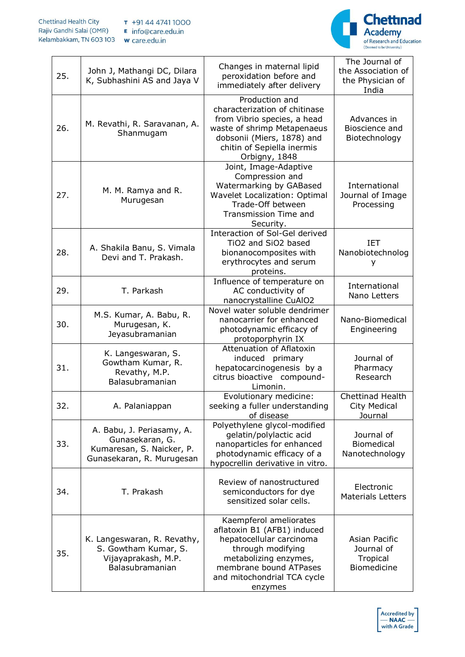

| 25. | John J, Mathangi DC, Dilara<br>K, Subhashini AS and Jaya V                                             | Changes in maternal lipid<br>peroxidation before and<br>immediately after delivery                                                                                                                  | The Journal of<br>the Association of<br>the Physician of<br>India |
|-----|--------------------------------------------------------------------------------------------------------|-----------------------------------------------------------------------------------------------------------------------------------------------------------------------------------------------------|-------------------------------------------------------------------|
| 26. | M. Revathi, R. Saravanan, A.<br>Shanmugam                                                              | Production and<br>characterization of chitinase<br>from Vibrio species, a head<br>waste of shrimp Metapenaeus<br>dobsonii (Miers, 1878) and<br>chitin of Sepiella inermis<br>Orbigny, 1848          | Advances in<br>Bioscience and<br>Biotechnology                    |
| 27. | M. M. Ramya and R.<br>Murugesan                                                                        | Joint, Image-Adaptive<br>Compression and<br>Watermarking by GABased<br>Wavelet Localization: Optimal<br>Trade-Off between<br>Transmission Time and<br>Security.                                     | International<br>Journal of Image<br>Processing                   |
| 28. | A. Shakila Banu, S. Vimala<br>Devi and T. Prakash.                                                     | Interaction of Sol-Gel derived<br>TiO2 and SiO2 based<br>bionanocomposites with<br>erythrocytes and serum<br>proteins.                                                                              | IET<br>Nanobiotechnolog<br>у                                      |
| 29. | T. Parkash                                                                                             | Influence of temperature on<br>AC conductivity of<br>nanocrystalline CuAlO2                                                                                                                         | International<br>Nano Letters                                     |
| 30. | M.S. Kumar, A. Babu, R.<br>Murugesan, K.<br>Jeyasubramanian                                            | Novel water soluble dendrimer<br>nanocarrier for enhanced<br>photodynamic efficacy of<br>protoporphyrin IX                                                                                          | Nano-Biomedical<br>Engineering                                    |
| 31. | K. Langeswaran, S.<br>Gowtham Kumar, R.<br>Revathy, M.P.<br>Balasubramanian                            | Attenuation of Aflatoxin<br>induced<br>primary<br>hepatocarcinogenesis by a<br>citrus bioactive compound-<br>Limonin.                                                                               | Journal of<br>Pharmacy<br>Research                                |
| 32. | A. Palaniappan                                                                                         | Evolutionary medicine:<br>seeking a fuller understanding<br>of disease                                                                                                                              | Chettinad Health<br>City Medical<br>Journal                       |
| 33. | A. Babu, J. Periasamy, A.<br>Gunasekaran, G.<br>Kumaresan, S. Naicker, P.<br>Gunasekaran, R. Murugesan | Polyethylene glycol-modified<br>gelatin/polylactic acid<br>nanoparticles for enhanced<br>photodynamic efficacy of a<br>hypocrellin derivative in vitro.                                             | Journal of<br><b>Biomedical</b><br>Nanotechnology                 |
| 34. | T. Prakash                                                                                             | Review of nanostructured<br>semiconductors for dye<br>sensitized solar cells.                                                                                                                       | Electronic<br><b>Materials Letters</b>                            |
| 35. | K. Langeswaran, R. Revathy,<br>S. Gowtham Kumar, S.<br>Vijayaprakash, M.P.<br>Balasubramanian          | Kaempferol ameliorates<br>aflatoxin B1 (AFB1) induced<br>hepatocellular carcinoma<br>through modifying<br>metabolizing enzymes,<br>membrane bound ATPases<br>and mitochondrial TCA cycle<br>enzymes | Asian Pacific<br>Journal of<br>Tropical<br><b>Biomedicine</b>     |

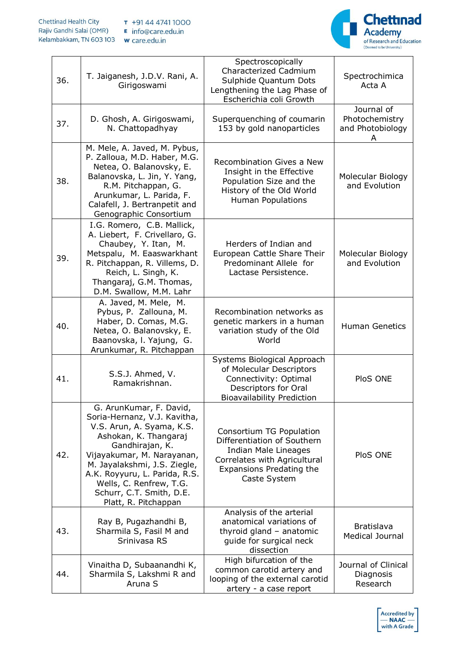

| 36. | T. Jaiganesh, J.D.V. Rani, A.<br>Girigoswami                                                                                                                                                                                                                                                                   | Spectroscopically<br>Characterized Cadmium<br>Sulphide Quantum Dots<br>Lengthening the Lag Phase of<br>Escherichia coli Growth                              | Spectrochimica<br>Acta A                         |
|-----|----------------------------------------------------------------------------------------------------------------------------------------------------------------------------------------------------------------------------------------------------------------------------------------------------------------|-------------------------------------------------------------------------------------------------------------------------------------------------------------|--------------------------------------------------|
| 37. | D. Ghosh, A. Girigoswami,<br>N. Chattopadhyay                                                                                                                                                                                                                                                                  | Superquenching of coumarin<br>153 by gold nanoparticles                                                                                                     | Journal of<br>Photochemistry<br>and Photobiology |
| 38. | M. Mele, A. Javed, M. Pybus,<br>P. Zalloua, M.D. Haber, M.G.<br>Netea, O. Balanovsky, E.<br>Balanovska, L. Jin, Y. Yang,<br>R.M. Pitchappan, G.<br>Arunkumar, L. Parida, F.<br>Calafell, J. Bertranpetit and<br>Genographic Consortium                                                                         | Recombination Gives a New<br>Insight in the Effective<br>Population Size and the<br>History of the Old World<br><b>Human Populations</b>                    | Molecular Biology<br>and Evolution               |
| 39. | I.G. Romero, C.B. Mallick,<br>A. Liebert, F. Crivellaro, G.<br>Chaubey, Y. Itan, M.<br>Metspalu, M. Eaaswarkhant<br>R. Pitchappan, R. Villems, D.<br>Reich, L. Singh, K.<br>Thangaraj, G.M. Thomas,<br>D.M. Swallow, M.M. Lahr                                                                                 | Herders of Indian and<br>European Cattle Share Their<br>Predominant Allele for<br>Lactase Persistence.                                                      | Molecular Biology<br>and Evolution               |
| 40. | A. Javed, M. Mele, M.<br>Pybus, P. Zallouna, M.<br>Haber, D. Comas, M.G.<br>Netea, O. Balanovsky, E.<br>Baanovska, I. Yajung, G.<br>Arunkumar, R. Pitchappan                                                                                                                                                   | Recombination networks as<br>genetic markers in a human<br>variation study of the Old<br>World                                                              | <b>Human Genetics</b>                            |
| 41. | S.S.J. Ahmed, V.<br>Ramakrishnan.                                                                                                                                                                                                                                                                              | Systems Biological Approach<br>of Molecular Descriptors<br>Connectivity: Optimal<br><b>Descriptors for Oral</b><br><b>Bioavailability Prediction</b>        | PloS ONE                                         |
| 42. | G. ArunKumar, F. David,<br>Soria-Hernanz, V.J. Kavitha,<br>V.S. Arun, A. Syama, K.S.<br>Ashokan, K. Thangaraj<br>Gandhirajan, K.<br>Vijayakumar, M. Narayanan,<br>M. Jayalakshmi, J.S. Ziegle,<br>A.K. Royyuru, L. Parida, R.S.<br>Wells, C. Renfrew, T.G.<br>Schurr, C.T. Smith, D.E.<br>Platt, R. Pitchappan | Consortium TG Population<br>Differentiation of Southern<br>Indian Male Lineages<br>Correlates with Agricultural<br>Expansions Predating the<br>Caste System | PloS ONE                                         |
| 43. | Ray B, Pugazhandhi B,<br>Sharmila S, Fasil M and<br>Srinivasa RS                                                                                                                                                                                                                                               | Analysis of the arterial<br>anatomical variations of<br>thyroid gland - anatomic<br>guide for surgical neck<br>dissection                                   | <b>Bratislava</b><br>Medical Journal             |
| 44. | Vinaitha D, Subaanandhi K,<br>Sharmila S, Lakshmi R and<br>Aruna S                                                                                                                                                                                                                                             | High bifurcation of the<br>common carotid artery and<br>looping of the external carotid<br>artery - a case report                                           | Journal of Clinical<br>Diagnosis<br>Research     |

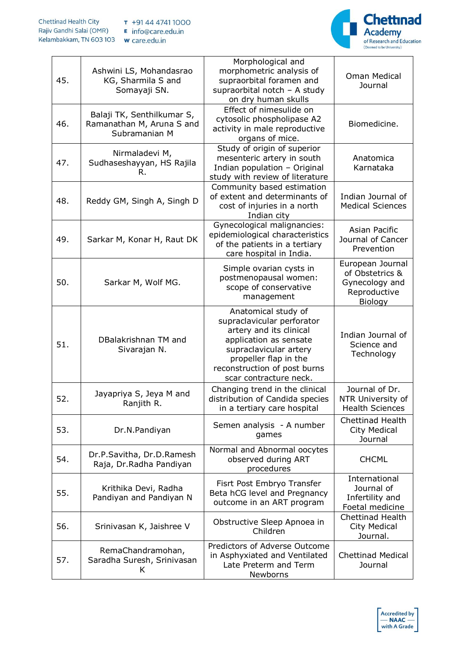

| 45. | Ashwini LS, Mohandasrao<br>KG, Sharmila S and<br>Somayaji SN.            | Morphological and<br>morphometric analysis of<br>supraorbital foramen and<br>supraorbital notch $-$ A study<br>on dry human skulls                                                                                  | Oman Medical<br>Journal                                                          |
|-----|--------------------------------------------------------------------------|---------------------------------------------------------------------------------------------------------------------------------------------------------------------------------------------------------------------|----------------------------------------------------------------------------------|
| 46. | Balaji TK, Senthilkumar S,<br>Ramanathan M, Aruna S and<br>Subramanian M | Effect of nimesulide on<br>cytosolic phospholipase A2<br>activity in male reproductive<br>organs of mice.                                                                                                           | Biomedicine.                                                                     |
| 47. | Nirmaladevi M,<br>Sudhaseshayyan, HS Rajila<br>R.                        | Study of origin of superior<br>mesenteric artery in south<br>Indian population - Original<br>study with review of literature                                                                                        | Anatomica<br>Karnataka                                                           |
| 48. | Reddy GM, Singh A, Singh D                                               | Community based estimation<br>of extent and determinants of<br>cost of injuries in a north<br>Indian city                                                                                                           | Indian Journal of<br><b>Medical Sciences</b>                                     |
| 49. | Sarkar M, Konar H, Raut DK                                               | Gynecological malignancies:<br>epidemiological characteristics<br>of the patients in a tertiary<br>care hospital in India.                                                                                          | Asian Pacific<br>Journal of Cancer<br>Prevention                                 |
| 50. | Sarkar M, Wolf MG.                                                       | Simple ovarian cysts in<br>postmenopausal women:<br>scope of conservative<br>management                                                                                                                             | European Journal<br>of Obstetrics &<br>Gynecology and<br>Reproductive<br>Biology |
| 51. | DBalakrishnan TM and<br>Sivarajan N.                                     | Anatomical study of<br>supraclavicular perforator<br>artery and its clinical<br>application as sensate<br>supraclavicular artery<br>propeller flap in the<br>reconstruction of post burns<br>scar contracture neck. | Indian Journal of<br>Science and<br>Technology                                   |
| 52. | Jayapriya S, Jeya M and<br>Ranjith R.                                    | Changing trend in the clinical<br>distribution of Candida species<br>in a tertiary care hospital                                                                                                                    | Journal of Dr.<br>NTR University of<br><b>Health Sciences</b>                    |
| 53. | Dr.N.Pandiyan                                                            | Semen analysis - A number<br>games                                                                                                                                                                                  | <b>Chettinad Health</b><br>City Medical<br>Journal                               |
| 54. | Dr.P.Savitha, Dr.D.Ramesh<br>Raja, Dr.Radha Pandiyan                     | Normal and Abnormal oocytes<br>observed during ART<br>procedures                                                                                                                                                    | <b>CHCML</b>                                                                     |
| 55. | Krithika Devi, Radha<br>Pandiyan and Pandiyan N                          | Fisrt Post Embryo Transfer<br>Beta hCG level and Pregnancy<br>outcome in an ART program                                                                                                                             | International<br>Journal of<br>Infertility and<br>Foetal medicine                |
| 56. | Srinivasan K, Jaishree V                                                 | Obstructive Sleep Apnoea in<br>Children                                                                                                                                                                             | Chettinad Health<br>City Medical<br>Journal.                                     |
| 57. | RemaChandramohan,<br>Saradha Suresh, Srinivasan<br>K.                    | Predictors of Adverse Outcome<br>in Asphyxiated and Ventilated<br>Late Preterm and Term<br>Newborns                                                                                                                 | <b>Chettinad Medical</b><br>Journal                                              |

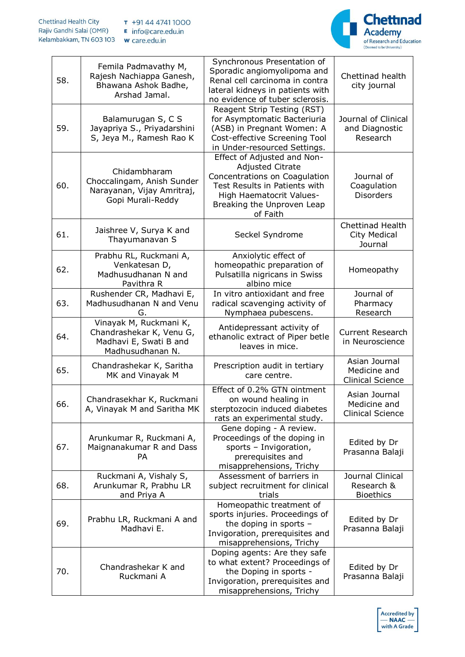

| 58. | Femila Padmavathy M,<br>Rajesh Nachiappa Ganesh,<br>Bhawana Ashok Badhe,<br>Arshad Jamal.        | Synchronous Presentation of<br>Sporadic angiomyolipoma and<br>Renal cell carcinoma in contra<br>lateral kidneys in patients with<br>no evidence of tuber sclerosis.                            | Chettinad health<br>city journal                          |
|-----|--------------------------------------------------------------------------------------------------|------------------------------------------------------------------------------------------------------------------------------------------------------------------------------------------------|-----------------------------------------------------------|
| 59. | Balamurugan S, C S<br>Jayapriya S., Priyadarshini<br>S, Jeya M., Ramesh Rao K                    | Reagent Strip Testing (RST)<br>for Asymptomatic Bacteriuria<br>(ASB) in Pregnant Women: A<br>Cost-effective Screening Tool<br>in Under-resourced Settings.                                     | Journal of Clinical<br>and Diagnostic<br>Research         |
| 60. | Chidambharam<br>Choccalingam, Anish Sunder<br>Narayanan, Vijay Amritraj,<br>Gopi Murali-Reddy    | Effect of Adjusted and Non-<br><b>Adjusted Citrate</b><br>Concentrations on Coagulation<br>Test Results in Patients with<br>High Haematocrit Values-<br>Breaking the Unproven Leap<br>of Faith | Journal of<br>Coagulation<br><b>Disorders</b>             |
| 61. | Jaishree V, Surya K and<br>Thayumanavan S                                                        | Seckel Syndrome                                                                                                                                                                                | <b>Chettinad Health</b><br><b>City Medical</b><br>Journal |
| 62. | Prabhu RL, Ruckmani A,<br>Venkatesan D,<br>Madhusudhanan N and<br>Pavithra R                     | Anxiolytic effect of<br>homeopathic preparation of<br>Pulsatilla nigricans in Swiss<br>albino mice                                                                                             | Homeopathy                                                |
| 63. | Rushender CR, Madhavi E,<br>Madhusudhanan N and Venu<br>G.                                       | In vitro antioxidant and free<br>radical scavenging activity of<br>Nymphaea pubescens.                                                                                                         | Journal of<br>Pharmacy<br>Research                        |
| 64. | Vinayak M, Ruckmani K,<br>Chandrashekar K, Venu G,<br>Madhavi E, Swati B and<br>Madhusudhanan N. | Antidepressant activity of<br>ethanolic extract of Piper betle<br>leaves in mice.                                                                                                              | <b>Current Research</b><br>in Neuroscience                |
| 65. | Chandrashekar K, Saritha<br>MK and Vinayak M                                                     | Prescription audit in tertiary<br>care centre.                                                                                                                                                 | Asian Journal<br>Medicine and<br><b>Clinical Science</b>  |
| 66. | Chandrasekhar K, Ruckmani<br>A, Vinayak M and Saritha MK                                         | Effect of 0.2% GTN ointment<br>on wound healing in<br>sterptozocin induced diabetes<br>rats an experimental study.                                                                             | Asian Journal<br>Medicine and<br><b>Clinical Science</b>  |
| 67. | Arunkumar R, Ruckmani A,<br>Maignanakumar R and Dass<br><b>PA</b>                                | Gene doping - A review.<br>Proceedings of the doping in<br>sports - Invigoration,<br>prerequisites and<br>misapprehensions, Trichy                                                             | Edited by Dr<br>Prasanna Balaji                           |
| 68. | Ruckmani A, Vishaly S,<br>Arunkumar R, Prabhu LR<br>and Priya A                                  | Assessment of barriers in<br>subject recruitment for clinical<br>trials                                                                                                                        | Journal Clinical<br>Research &<br><b>Bioethics</b>        |
| 69. | Prabhu LR, Ruckmani A and<br>Madhavi E.                                                          | Homeopathic treatment of<br>sports injuries. Proceedings of<br>the doping in sports -<br>Invigoration, prerequisites and<br>misapprehensions, Trichy                                           | Edited by Dr<br>Prasanna Balaji                           |
| 70. | Chandrashekar K and<br>Ruckmani A                                                                | Doping agents: Are they safe<br>to what extent? Proceedings of<br>the Doping in sports -<br>Invigoration, prerequisites and<br>misapprehensions, Trichy                                        | Edited by Dr<br>Prasanna Balaji                           |